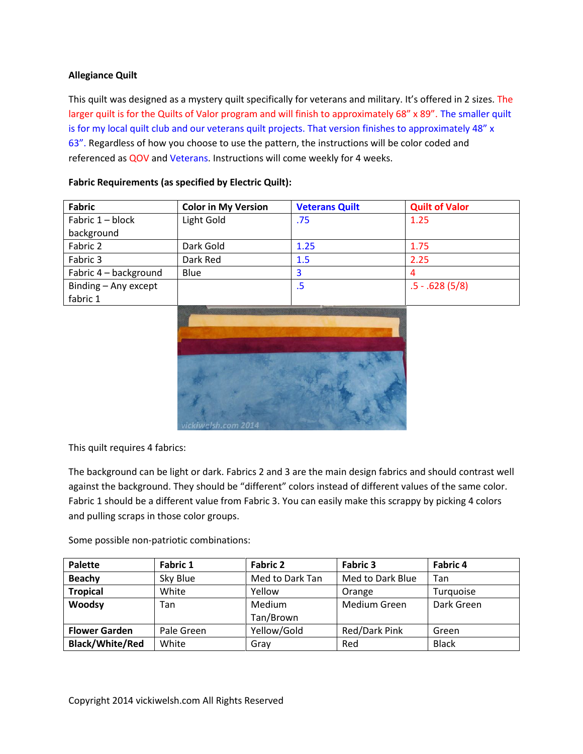# **Allegiance Quilt**

This quilt was designed as a mystery quilt specifically for veterans and military. It's offered in 2 sizes. The larger quilt is for the Quilts of Valor program and will finish to approximately 68" x 89". The smaller quilt is for my local quilt club and our veterans quilt projects. That version finishes to approximately 48" x 63". Regardless of how you choose to use the pattern, the instructions will be color coded and referenced as QOV and Veterans. Instructions will come weekly for 4 weeks.

| <b>Fabric</b>         | <b>Color in My Version</b> | <b>Veterans Quilt</b> | <b>Quilt of Valor</b> |
|-----------------------|----------------------------|-----------------------|-----------------------|
| Fabric 1 - block      | Light Gold                 | .75                   | 1.25                  |
| background            |                            |                       |                       |
| Fabric 2              | Dark Gold                  | 1.25                  | 1.75                  |
| Fabric 3              | Dark Red                   | 1.5                   | 2.25                  |
| Fabric 4 - background | Blue                       | 3                     | 4                     |
| Binding - Any except  |                            | .5                    | $.5 - .628(5/8)$      |
| fabric 1              |                            |                       |                       |
|                       |                            |                       |                       |

**Fabric Requirements (as specified by Electric Quilt):**



This quilt requires 4 fabrics:

The background can be light or dark. Fabrics 2 and 3 are the main design fabrics and should contrast well against the background. They should be "different" colors instead of different values of the same color. Fabric 1 should be a different value from Fabric 3. You can easily make this scrappy by picking 4 colors and pulling scraps in those color groups.

Some possible non-patriotic combinations:

| <b>Palette</b>         | <b>Fabric 1</b> | <b>Fabric 2</b> | <b>Fabric 3</b>     | Fabric 4     |
|------------------------|-----------------|-----------------|---------------------|--------------|
| <b>Beachy</b>          | Sky Blue        | Med to Dark Tan | Med to Dark Blue    | Tan          |
| <b>Tropical</b>        | White           | Yellow          | Orange              | Turquoise    |
| Woodsy                 | Tan             | Medium          | <b>Medium Green</b> | Dark Green   |
|                        |                 | Tan/Brown       |                     |              |
| <b>Flower Garden</b>   | Pale Green      | Yellow/Gold     | Red/Dark Pink       | Green        |
| <b>Black/White/Red</b> | White           | Gray            | Red                 | <b>Black</b> |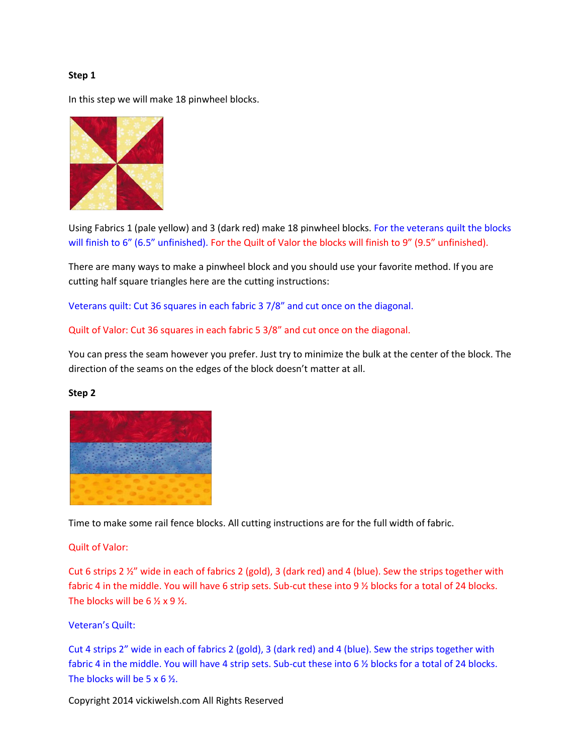## **Step 1**

In this step we will make 18 pinwheel blocks.



Using Fabrics 1 (pale yellow) and 3 (dark red) make 18 pinwheel blocks. For the veterans quilt the blocks will finish to 6" (6.5" unfinished). For the Quilt of Valor the blocks will finish to 9" (9.5" unfinished).

There are many ways to make a pinwheel block and you should use your favorite method. If you are cutting half square triangles here are the cutting instructions:

Veterans quilt: Cut 36 squares in each fabric 3 7/8" and cut once on the diagonal.

Quilt of Valor: Cut 36 squares in each fabric 5 3/8" and cut once on the diagonal.

You can press the seam however you prefer. Just try to minimize the bulk at the center of the block. The direction of the seams on the edges of the block doesn't matter at all.

### **Step 2**



Time to make some rail fence blocks. All cutting instructions are for the full width of fabric.

## Quilt of Valor:

Cut 6 strips 2 ½" wide in each of fabrics 2 (gold), 3 (dark red) and 4 (blue). Sew the strips together with fabric 4 in the middle. You will have 6 strip sets. Sub-cut these into 9 ½ blocks for a total of 24 blocks. The blocks will be  $6 \frac{1}{2} \times 9 \frac{1}{2}$ .

### Veteran's Quilt:

Cut 4 strips 2" wide in each of fabrics 2 (gold), 3 (dark red) and 4 (blue). Sew the strips together with fabric 4 in the middle. You will have 4 strip sets. Sub-cut these into 6 % blocks for a total of 24 blocks. The blocks will be 5 x 6 ½.

Copyright 2014 vickiwelsh.com All Rights Reserved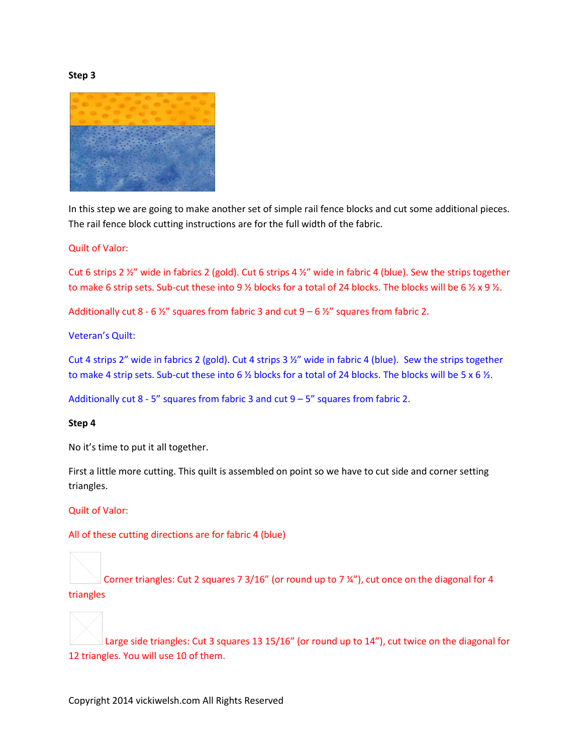#### **Step 3**



In this step we are going to make another set of simple rail fence blocks and cut some additional pieces. The rail fence block cutting instructions are for the full width of the fabric.

## Quilt of Valor:

Cut 6 strips 2 ½" wide in fabrics 2 (gold). Cut 6 strips 4 ½" wide in fabric 4 (blue). Sew the strips together to make 6 strip sets. Sub-cut these into 9  $\frac{1}{2}$  blocks for a total of 24 blocks. The blocks will be 6  $\frac{1}{2}$  x 9  $\frac{1}{2}$ .

Additionally cut 8 - 6  $\frac{1}{2}$ " squares from fabric 3 and cut 9 – 6  $\frac{1}{2}$ " squares from fabric 2.

Veteran's Quilt:

Cut 4 strips 2" wide in fabrics 2 (gold). Cut 4 strips 3 ½" wide in fabric 4 (blue). Sew the strips together to make 4 strip sets. Sub-cut these into 6  $\frac{1}{2}$  blocks for a total of 24 blocks. The blocks will be 5 x 6  $\frac{1}{2}$ .

Additionally cut  $8 - 5$ " squares from fabric 3 and cut  $9 - 5$ " squares from fabric 2.

### **Step 4**

No it's time to put it all together.

First a little more cutting. This quilt is assembled on point so we have to cut side and corner setting triangles.

Quilt of Valor:

All of these cutting directions are for fabric 4 (blue)

Corner triangles: Cut 2 squares 7 3/16" (or round up to 7 ¼"), cut once on the diagonal for 4 triangles

Large side triangles: Cut 3 squares 13 15/16" (or round up to 14"), cut twice on the diagonal for 12 triangles. You will use 10 of them.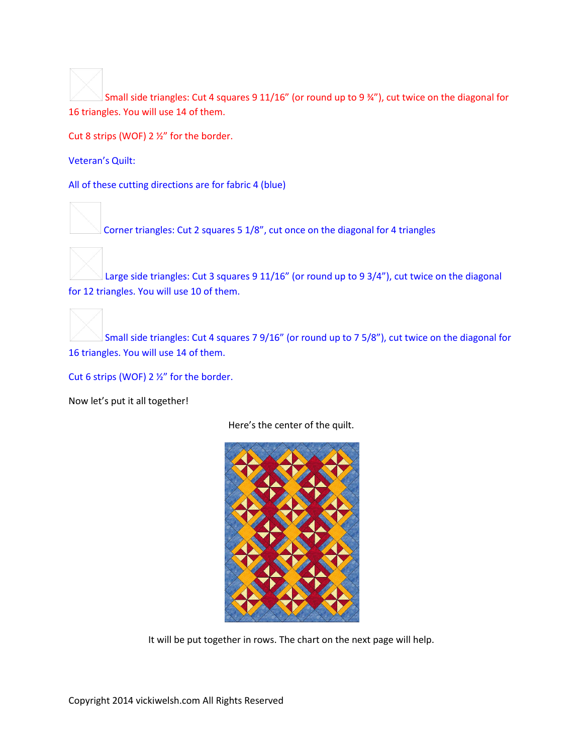Small side triangles: Cut 4 squares 9 11/16" (or round up to 9 ¾"), cut twice on the diagonal for 16 triangles. You will use 14 of them.

Cut 8 strips (WOF) 2 ½" for the border.

Veteran's Quilt:

All of these cutting directions are for fabric 4 (blue)

Corner triangles: Cut 2 squares 5 1/8", cut once on the diagonal for 4 triangles



Large side triangles: Cut 3 squares 9 11/16" (or round up to 9 3/4"), cut twice on the diagonal for 12 triangles. You will use 10 of them.



Small side triangles: Cut 4 squares 7 9/16" (or round up to 7 5/8"), cut twice on the diagonal for 16 triangles. You will use 14 of them.

Cut 6 strips (WOF) 2 ½" for the border.

Now let's put it all together!

Here's the center of the quilt.



It will be put together in rows. The chart on the next page will help.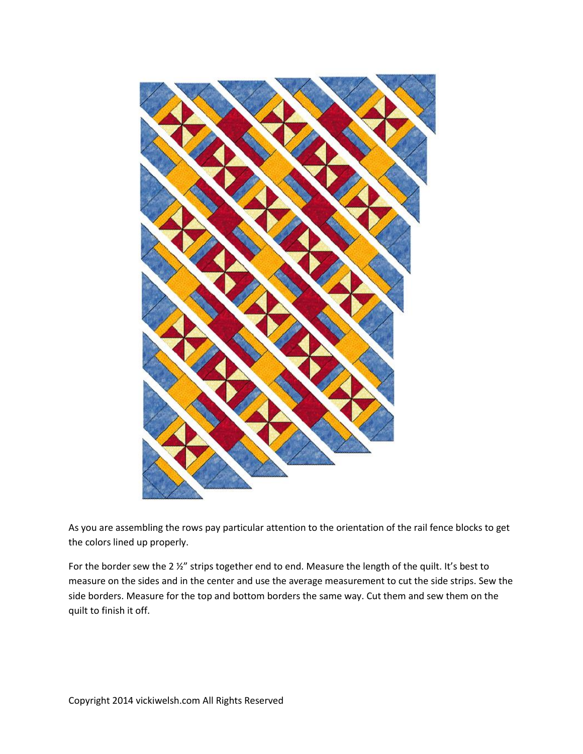

As you are assembling the rows pay particular attention to the orientation of the rail fence blocks to get the colors lined up properly.

For the border sew the 2 ½" strips together end to end. Measure the length of the quilt. It's best to measure on the sides and in the center and use the average measurement to cut the side strips. Sew the side borders. Measure for the top and bottom borders the same way. Cut them and sew them on the quilt to finish it off.